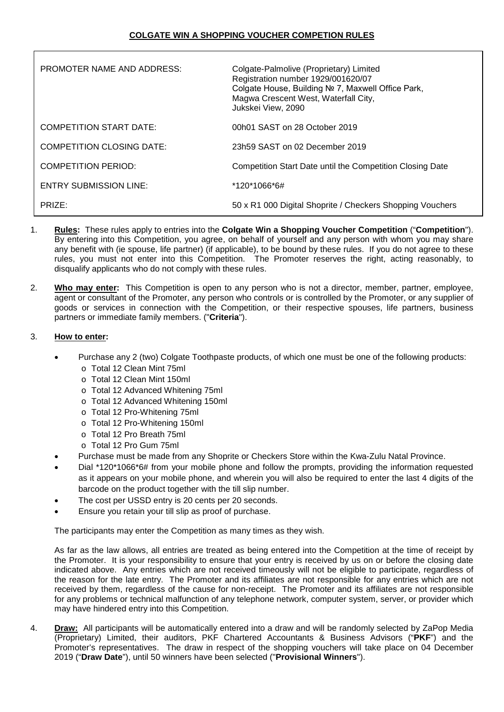| PROMOTER NAME AND ADDRESS:    | Colgate-Palmolive (Proprietary) Limited<br>Registration number 1929/001620/07<br>Colgate House, Building № 7, Maxwell Office Park,<br>Magwa Crescent West, Waterfall City,<br>Jukskei View, 2090 |
|-------------------------------|--------------------------------------------------------------------------------------------------------------------------------------------------------------------------------------------------|
| COMPETITION START DATE:       | 00h01 SAST on 28 October 2019                                                                                                                                                                    |
| COMPETITION CLOSING DATE:     | 23h59 SAST on 02 December 2019                                                                                                                                                                   |
| COMPETITION PERIOD:           | Competition Start Date until the Competition Closing Date                                                                                                                                        |
| <b>ENTRY SUBMISSION LINE:</b> | *120*1066*6#                                                                                                                                                                                     |
| PRIZE:                        | 50 x R1 000 Digital Shoprite / Checkers Shopping Vouchers                                                                                                                                        |

- 1. **Rules:** These rules apply to entries into the **Colgate Win a Shopping Voucher Competition** ("**Competition**"). By entering into this Competition, you agree, on behalf of yourself and any person with whom you may share any benefit with (ie spouse, life partner) (if applicable), to be bound by these rules. If you do not agree to these rules, you must not enter into this Competition. The Promoter reserves the right, acting reasonably, to disqualify applicants who do not comply with these rules.
- 2. **Who may enter:** This Competition is open to any person who is not a director, member, partner, employee, agent or consultant of the Promoter, any person who controls or is controlled by the Promoter, or any supplier of goods or services in connection with the Competition, or their respective spouses, life partners, business partners or immediate family members. ("**Criteria**").

# 3. **How to enter:**

- Purchase any 2 (two) Colgate Toothpaste products, of which one must be one of the following products:
	- o Total 12 Clean Mint 75ml
	- o Total 12 Clean Mint 150ml
	- o Total 12 Advanced Whitening 75ml
	- o Total 12 Advanced Whitening 150ml
	- o Total 12 Pro-Whitening 75ml
	- o Total 12 Pro-Whitening 150ml
	- o Total 12 Pro Breath 75ml
	- o Total 12 Pro Gum 75ml
- Purchase must be made from any Shoprite or Checkers Store within the Kwa-Zulu Natal Province.
- Dial \*120\*1066\*6# from your mobile phone and follow the prompts, providing the information requested as it appears on your mobile phone, and wherein you will also be required to enter the last 4 digits of the barcode on the product together with the till slip number.
- The cost per USSD entry is 20 cents per 20 seconds.
- Ensure you retain your till slip as proof of purchase.

The participants may enter the Competition as many times as they wish.

As far as the law allows, all entries are treated as being entered into the Competition at the time of receipt by the Promoter. It is your responsibility to ensure that your entry is received by us on or before the closing date indicated above. Any entries which are not received timeously will not be eligible to participate, regardless of the reason for the late entry. The Promoter and its affiliates are not responsible for any entries which are not received by them, regardless of the cause for non-receipt. The Promoter and its affiliates are not responsible for any problems or technical malfunction of any telephone network, computer system, server, or provider which may have hindered entry into this Competition.

4. **Draw:** All participants will be automatically entered into a draw and will be randomly selected by ZaPop Media (Proprietary) Limited, their auditors, PKF Chartered Accountants & Business Advisors ("**PKF**") and the Promoter's representatives. The draw in respect of the shopping vouchers will take place on 04 December 2019 ("**Draw Date**"), until 50 winners have been selected ("**Provisional Winners**").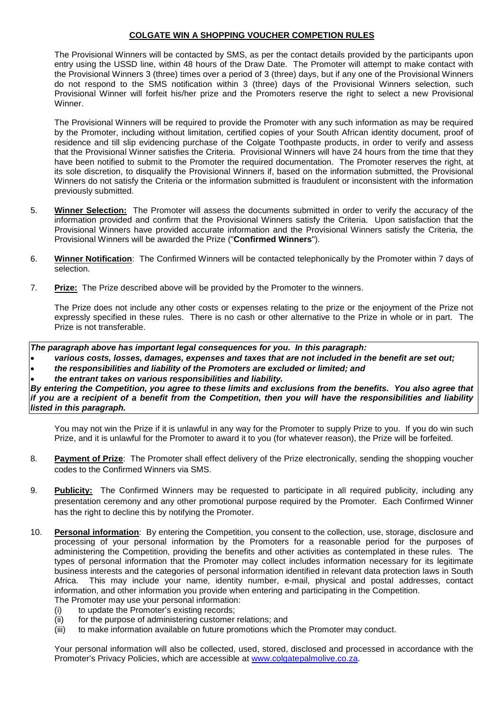## **COLGATE WIN A SHOPPING VOUCHER COMPETION RULES**

The Provisional Winners will be contacted by SMS, as per the contact details provided by the participants upon entry using the USSD line, within 48 hours of the Draw Date. The Promoter will attempt to make contact with the Provisional Winners 3 (three) times over a period of 3 (three) days, but if any one of the Provisional Winners do not respond to the SMS notification within 3 (three) days of the Provisional Winners selection, such Provisional Winner will forfeit his/her prize and the Promoters reserve the right to select a new Provisional Winner.

The Provisional Winners will be required to provide the Promoter with any such information as may be required by the Promoter, including without limitation, certified copies of your South African identity document, proof of residence and till slip evidencing purchase of the Colgate Toothpaste products, in order to verify and assess that the Provisional Winner satisfies the Criteria. Provisional Winners will have 24 hours from the time that they have been notified to submit to the Promoter the required documentation. The Promoter reserves the right, at its sole discretion, to disqualify the Provisional Winners if, based on the information submitted, the Provisional Winners do not satisfy the Criteria or the information submitted is fraudulent or inconsistent with the information previously submitted.

- 5. **Winner Selection:** The Promoter will assess the documents submitted in order to verify the accuracy of the information provided and confirm that the Provisional Winners satisfy the Criteria. Upon satisfaction that the Provisional Winners have provided accurate information and the Provisional Winners satisfy the Criteria, the Provisional Winners will be awarded the Prize ("**Confirmed Winners**").
- 6. **Winner Notification**: The Confirmed Winners will be contacted telephonically by the Promoter within 7 days of selection.
- 7. **Prize:** The Prize described above will be provided by the Promoter to the winners.

The Prize does not include any other costs or expenses relating to the prize or the enjoyment of the Prize not expressly specified in these rules. There is no cash or other alternative to the Prize in whole or in part. The Prize is not transferable.

*The paragraph above has important legal consequences for you. In this paragraph:*

- *various costs, losses, damages, expenses and taxes that are not included in the benefit are set out;*
- *the responsibilities and liability of the Promoters are excluded or limited; and*
- *the entrant takes on various responsibilities and liability.*

*By entering the Competition, you agree to these limits and exclusions from the benefits. You also agree that if you are a recipient of a benefit from the Competition, then you will have the responsibilities and liability listed in this paragraph.*

You may not win the Prize if it is unlawful in any way for the Promoter to supply Prize to you. If you do win such Prize, and it is unlawful for the Promoter to award it to you (for whatever reason), the Prize will be forfeited.

- 8. **Payment of Prize**: The Promoter shall effect delivery of the Prize electronically, sending the shopping voucher codes to the Confirmed Winners via SMS.
- 9. **Publicity:** The Confirmed Winners may be requested to participate in all required publicity, including any presentation ceremony and any other promotional purpose required by the Promoter. Each Confirmed Winner has the right to decline this by notifying the Promoter.
- 10. **Personal information**: By entering the Competition, you consent to the collection, use, storage, disclosure and processing of your personal information by the Promoters for a reasonable period for the purposes of administering the Competition, providing the benefits and other activities as contemplated in these rules. The types of personal information that the Promoter may collect includes information necessary for its legitimate business interests and the categories of personal information identified in relevant data protection laws in South Africa. This may include your name, identity number, e-mail, physical and postal addresses, contact information, and other information you provide when entering and participating in the Competition. The Promoter may use your personal information:
	- (i) to update the Promoter's existing records;
	- (ii) for the purpose of administering customer relations; and
	- (iii) to make information available on future promotions which the Promoter may conduct.

Your personal information will also be collected, used, stored, disclosed and processed in accordance with the Promoter's Privacy Policies, which are accessible at [www.colgatepalmolive.co.za.](http://www.colgatepalmolive.co.za/)